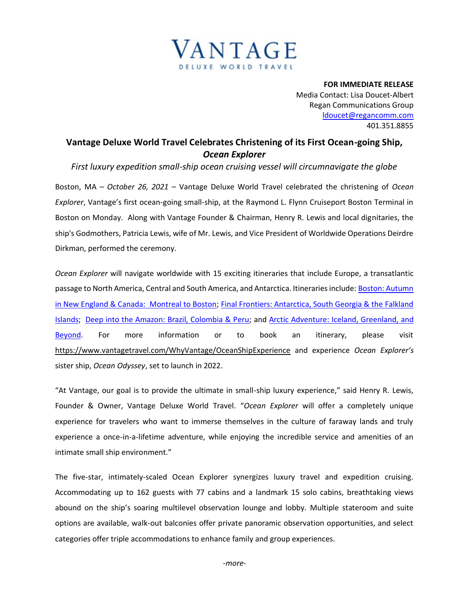

**FOR IMMEDIATE RELEASE** Media Contact: Lisa Doucet-Albert Regan Communications Group [ldoucet@regancomm.com](mailto:ldoucet@regancomm.com) 401.351.8855

## **Vantage Deluxe World Travel Celebrates Christening of its First Ocean-going Ship,**  *Ocean Explorer*

*First luxury expedition small-ship ocean cruising vessel will circumnavigate the globe* 

Boston, MA – *October 26, 2021* – Vantage Deluxe World Travel celebrated the christening of *Ocean Explorer*, Vantage's first ocean-going small-ship, at the Raymond L. Flynn Cruiseport Boston Terminal in Boston on Monday. Along with Vantage Founder & Chairman, Henry R. Lewis and local dignitaries, the ship's Godmothers, Patricia Lewis, wife of Mr. Lewis, and Vice President of Worldwide Operations Deirdre Dirkman, performed the ceremony.

*Ocean Explorer* will navigate worldwide with 15 exciting itineraries that include Europe, a transatlantic passage to North America, Central and South America, and Antarctica. Itineraries include: Boston: Autumn [in New England & Canada: Montreal to Boston;](https://www.vantagetravel.com/ourjourneys/deluxe-small-ship-cruises/north-america-small-ship-cruise/embxx/2023/itinerary) [Final Frontiers: Antarctica, South Georgia & the Falkland](http://www.vantagetravel.com/EBU23)  [Islands;](http://www.vantagetravel.com/EBU23) [Deep into the Amazon: Brazil, Colombia & Peru;](http://www.vantagetravel.com/EMI23) and [Arctic Adventure: Iceland, Greenland, and](http://www.vantagetravel.com/ERM23)  [Beyond.](http://www.vantagetravel.com/ERM23) For more information or to book an itinerary, please visit <https://www.vantagetravel.com/WhyVantage/OceanShipExperience> and experience *Ocean Explorer's* sister ship, *Ocean Odyssey*, set to launch in 2022.

"At Vantage, our goal is to provide the ultimate in small-ship luxury experience," said Henry R. Lewis, Founder & Owner, Vantage Deluxe World Travel. "*Ocean Explorer* will offer a completely unique experience for travelers who want to immerse themselves in the culture of faraway lands and truly experience a once-in-a-lifetime adventure, while enjoying the incredible service and amenities of an intimate small ship environment."

The five-star, intimately-scaled Ocean Explorer synergizes luxury travel and expedition cruising. Accommodating up to 162 guests with 77 cabins and a landmark 15 solo cabins, breathtaking views abound on the ship's soaring multilevel observation lounge and lobby. Multiple stateroom and suite options are available, walk-out balconies offer private panoramic observation opportunities, and select categories offer triple accommodations to enhance family and group experiences.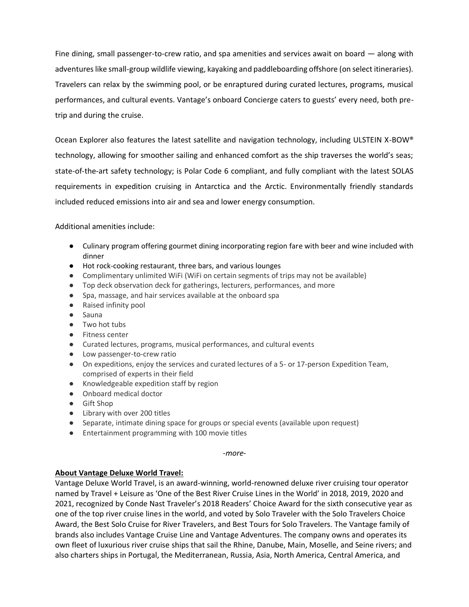Fine dining, small passenger-to-crew ratio, and spa amenities and services await on board — along with adventures like small-group wildlife viewing, kayaking and paddleboarding offshore (on select itineraries). Travelers can relax by the swimming pool, or be enraptured during curated lectures, programs, musical performances, and cultural events. Vantage's onboard Concierge caters to guests' every need, both pretrip and during the cruise.

Ocean Explorer also features the latest satellite and navigation technology, including ULSTEIN X-BOW® technology, allowing for smoother sailing and enhanced comfort as the ship traverses the world's seas; state-of-the-art safety technology; is Polar Code 6 compliant, and fully compliant with the latest SOLAS requirements in expedition cruising in Antarctica and the Arctic. Environmentally friendly standards included reduced emissions into air and sea and lower energy consumption.

Additional amenities include:

- Culinary program offering gourmet dining incorporating region fare with beer and wine included with dinner
- Hot rock-cooking restaurant, three bars, and various lounges
- Complimentary unlimited WiFi (WiFi on certain segments of trips may not be available)
- Top deck observation deck for gatherings, lecturers, performances, and more
- Spa, massage, and hair services available at the onboard spa
- Raised infinity pool
- Sauna
- Two hot tubs
- Fitness center
- Curated lectures, programs, musical performances, and cultural events
- Low passenger-to-crew ratio
- On expeditions, enjoy the services and curated lectures of a 5- or 17-person Expedition Team, comprised of experts in their field
- Knowledgeable expedition staff by region
- Onboard medical doctor
- Gift Shop
- Library with over 200 titles
- Separate, intimate dining space for groups or special events (available upon request)
- Entertainment programming with 100 movie titles

## *-more-*

## **About Vantage Deluxe World Travel:**

Vantage Deluxe World Travel, is an award-winning, world-renowned deluxe river cruising tour operator named by Travel + Leisure as 'One of the Best River Cruise Lines in the World' in 2018, 2019, 2020 and 2021, recognized by Conde Nast Traveler's 2018 Readers' Choice Award for the sixth consecutive year as one of the top river cruise lines in the world, and voted by Solo Traveler with the Solo Travelers Choice Award, the Best Solo Cruise for River Travelers, and Best Tours for Solo Travelers. The Vantage family of brands also includes Vantage Cruise Line and Vantage Adventures. The company owns and operates its own fleet of luxurious river cruise ships that sail the Rhine, Danube, Main, Moselle, and Seine rivers; and also charters ships in Portugal, the Mediterranean, Russia, Asia, North America, Central America, and